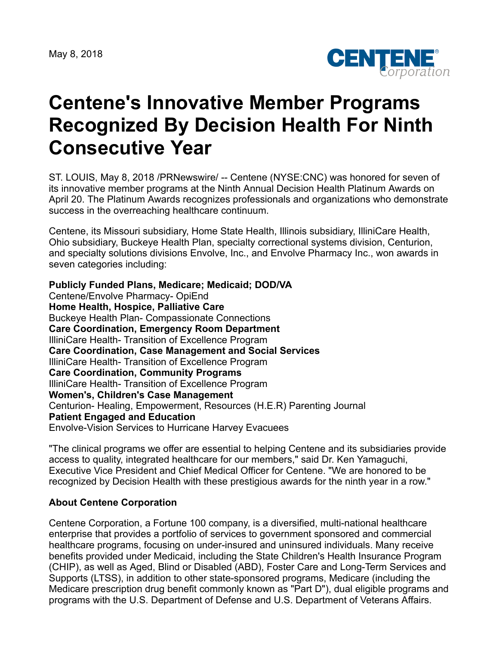May 8, 2018



## **Centene's Innovative Member Programs Recognized By Decision Health For Ninth Consecutive Year**

ST. LOUIS, May 8, 2018 /PRNewswire/ -- Centene (NYSE:CNC) was honored for seven of its innovative member programs at the Ninth Annual Decision Health Platinum Awards on April 20. The Platinum Awards recognizes professionals and organizations who demonstrate success in the overreaching healthcare continuum.

Centene, its Missouri subsidiary, Home State Health, Illinois subsidiary, IlliniCare Health, Ohio subsidiary, Buckeye Health Plan, specialty correctional systems division, Centurion, and specialty solutions divisions Envolve, Inc., and Envolve Pharmacy Inc., won awards in seven categories including:

**Publicly Funded Plans, Medicare; Medicaid; DOD/VA** Centene/Envolve Pharmacy- OpiEnd **Home Health, Hospice, Palliative Care** Buckeye Health Plan- Compassionate Connections **Care Coordination, Emergency Room Department** IlliniCare Health- Transition of Excellence Program **Care Coordination, Case Management and Social Services** IlliniCare Health- Transition of Excellence Program **Care Coordination, Community Programs** IlliniCare Health- Transition of Excellence Program **Women's, Children's Case Management** Centurion- Healing, Empowerment, Resources (H.E.R) Parenting Journal **Patient Engaged and Education** Envolve-Vision Services to Hurricane Harvey Evacuees

"The clinical programs we offer are essential to helping Centene and its subsidiaries provide access to quality, integrated healthcare for our members," said Dr. Ken Yamaguchi, Executive Vice President and Chief Medical Officer for Centene. "We are honored to be recognized by Decision Health with these prestigious awards for the ninth year in a row."

## **About Centene Corporation**

Centene Corporation, a Fortune 100 company, is a diversified, multi-national healthcare enterprise that provides a portfolio of services to government sponsored and commercial healthcare programs, focusing on under-insured and uninsured individuals. Many receive benefits provided under Medicaid, including the State Children's Health Insurance Program (CHIP), as well as Aged, Blind or Disabled (ABD), Foster Care and Long-Term Services and Supports (LTSS), in addition to other state-sponsored programs, Medicare (including the Medicare prescription drug benefit commonly known as "Part D"), dual eligible programs and programs with the U.S. Department of Defense and U.S. Department of Veterans Affairs.